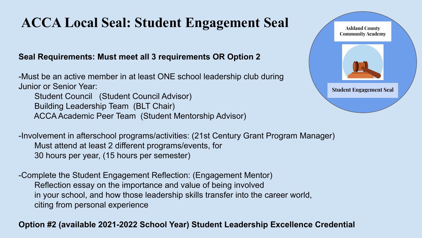# **ACCA Local Seal: Student Engagement Seal**

#### **Seal Requirements: Must meet all 3 requirements OR Option 2**

-Must be an active member in at least ONE school leadership club during Junior or Senior Year:

 Student Council (Student Council Advisor) Building Leadership Team (BLT Chair) ACCA Academic Peer Team (Student Mentorship Advisor)



-Involvement in afterschool programs/activities: (21st Century Grant Program Manager) Must attend at least 2 different programs/events, for 30 hours per year, (15 hours per semester)

-Complete the Student Engagement Reflection: (Engagement Mentor) Reflection essay on the importance and value of being involved in your school, and how those leadership skills transfer into the career world, citing from personal experience

#### **Option #2 (available 2021-2022 School Year) Student Leadership Excellence Credential**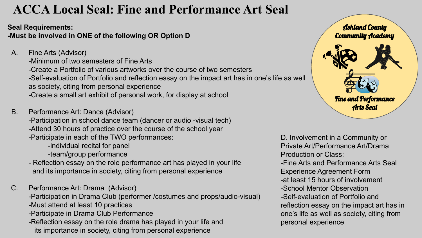## **ACCA Local Seal: Fine and Performance Art Seal**

**Seal Requirements:**

**-Must be involved in ONE of the following OR Option D**

A. Fine Arts (Advisor)

-Minimum of two semesters of Fine Arts -Create a Portfolio of various artworks over the course of two semesters -Self-evaluation of Portfolio and reflection essay on the impact art has in one's life as well as society, citing from personal experience -Create a small art exhibit of personal work, for display at school

B. Performance Art: Dance (Advisor)

-Participation in school dance team (dancer or audio -visual tech) -Attend 30 hours of practice over the course of the school year -Participate in each of the TWO performances:

-individual recital for panel

-team/group performance

- Reflection essay on the role performance art has played in your life and its importance in society, citing from personal experience
- C. Performance Art: Drama (Advisor) -Participation in Drama Club (performer /costumes and props/audio-visual) -Must attend at least 10 practices
	- -Participate in Drama Club Performance
	- -Reflection essay on the role drama has played in your life and its importance in society, citing from personal experience



D. Involvement in a Community or Private Art/Performance Art/Drama Production or Class: -Fine Arts and Performance Arts Seal Experience Agreement Form -at least 15 hours of involvement -School Mentor Observation -Self-evaluation of Portfolio and reflection essay on the impact art has in one's life as well as society, citing from personal experience